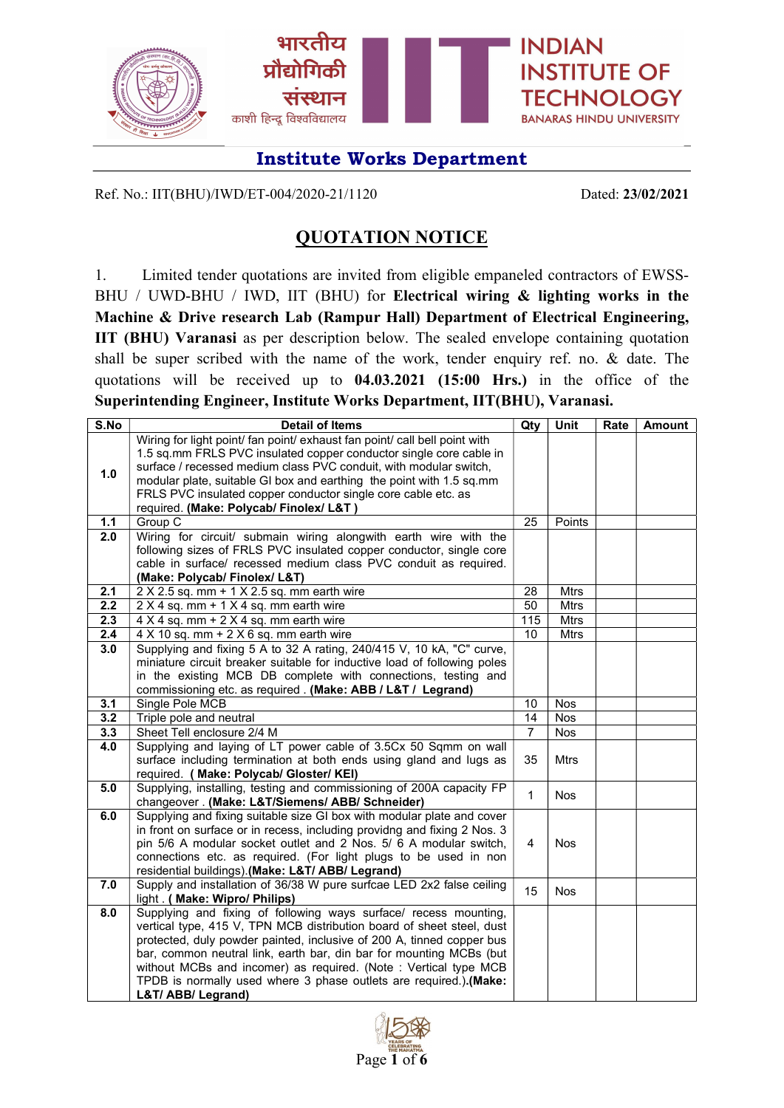

Ref. No.: IIT(BHU)/IWD/ET-004/2020-21/1120 Dated: 23/02/2021

## QUOTATION NOTICE

1. Limited tender quotations are invited from eligible empaneled contractors of EWSS-BHU / UWD-BHU / IWD, IIT (BHU) for Electrical wiring & lighting works in the Machine & Drive research Lab (Rampur Hall) Department of Electrical Engineering, IIT (BHU) Varanasi as per description below. The sealed envelope containing quotation shall be super scribed with the name of the work, tender enquiry ref. no. & date. The quotations will be received up to 04.03.2021 (15:00 Hrs.) in the office of the Superintending Engineer, Institute Works Department, IIT(BHU), Varanasi.

| S.No | <b>Detail of Items</b>                                                                                                                           | Qty            | Unit        | Rate | <b>Amount</b> |
|------|--------------------------------------------------------------------------------------------------------------------------------------------------|----------------|-------------|------|---------------|
|      | Wiring for light point/ fan point/ exhaust fan point/ call bell point with<br>1.5 sq.mm FRLS PVC insulated copper conductor single core cable in |                |             |      |               |
| 1.0  | surface / recessed medium class PVC conduit, with modular switch,                                                                                |                |             |      |               |
|      | modular plate, suitable GI box and earthing the point with 1.5 sq.mm<br>FRLS PVC insulated copper conductor single core cable etc. as            |                |             |      |               |
|      | required. (Make: Polycab/ Finolex/ L&T)                                                                                                          |                |             |      |               |
| 1.1  | Group C                                                                                                                                          | 25             | Points      |      |               |
| 2.0  | Wiring for circuit/ submain wiring alongwith earth wire with the                                                                                 |                |             |      |               |
|      | following sizes of FRLS PVC insulated copper conductor, single core                                                                              |                |             |      |               |
|      | cable in surface/ recessed medium class PVC conduit as required.                                                                                 |                |             |      |               |
|      | (Make: Polycab/ Finolex/ L&T)                                                                                                                    |                |             |      |               |
| 2.1  | $2 \times 2.5$ sq. mm + 1 $\times$ 2.5 sq. mm earth wire                                                                                         | 28             | <b>Mtrs</b> |      |               |
| 2.2  | $2 \times 4$ sq. mm + 1 $\times$ 4 sq. mm earth wire                                                                                             | 50             | <b>Mtrs</b> |      |               |
| 2.3  | $4 \times 4$ sq. mm + 2 $\times$ 4 sq. mm earth wire                                                                                             | 115            | <b>Mtrs</b> |      |               |
| 2.4  | $4 \times 10$ sq. mm + $2 \times 6$ sq. mm earth wire                                                                                            | 10             | <b>Mtrs</b> |      |               |
| 3.0  | Supplying and fixing 5 A to 32 A rating, 240/415 V, 10 kA, "C" curve,                                                                            |                |             |      |               |
|      | miniature circuit breaker suitable for inductive load of following poles                                                                         |                |             |      |               |
|      | in the existing MCB DB complete with connections, testing and<br>commissioning etc. as required. (Make: ABB / L&T / Legrand)                     |                |             |      |               |
| 3.1  | Single Pole MCB                                                                                                                                  | 10             | Nos         |      |               |
| 3.2  | Triple pole and neutral                                                                                                                          | 14             | <b>Nos</b>  |      |               |
| 3.3  | Sheet Tell enclosure 2/4 M                                                                                                                       | 7              | Nos         |      |               |
| 4.0  | Supplying and laying of LT power cable of 3.5Cx 50 Sqmm on wall                                                                                  |                |             |      |               |
|      | surface including termination at both ends using gland and lugs as                                                                               | 35             | Mtrs        |      |               |
|      | required. (Make: Polycab/ Gloster/ KEI)                                                                                                          |                |             |      |               |
| 5.0  | Supplying, installing, testing and commissioning of 200A capacity FP                                                                             |                |             |      |               |
|      | changeover . (Make: L&T/Siemens/ ABB/ Schneider)                                                                                                 | $\mathbf{1}$   | <b>Nos</b>  |      |               |
| 6.0  | Supplying and fixing suitable size GI box with modular plate and cover                                                                           |                |             |      |               |
|      | in front on surface or in recess, including providng and fixing 2 Nos. 3                                                                         |                |             |      |               |
|      | pin 5/6 A modular socket outlet and 2 Nos. 5/6 A modular switch,                                                                                 | $\overline{4}$ | <b>Nos</b>  |      |               |
|      | connections etc. as required. (For light plugs to be used in non                                                                                 |                |             |      |               |
|      | residential buildings).(Make: L&T/ ABB/ Legrand)                                                                                                 |                |             |      |               |
| 7.0  | Supply and installation of 36/38 W pure surfcae LED 2x2 false ceiling                                                                            | 15             | <b>Nos</b>  |      |               |
|      | light. (Make: Wipro/ Philips)<br>Supplying and fixing of following ways surface/ recess mounting,                                                |                |             |      |               |
| 8.0  | vertical type, 415 V, TPN MCB distribution board of sheet steel, dust                                                                            |                |             |      |               |
|      | protected, duly powder painted, inclusive of 200 A, tinned copper bus                                                                            |                |             |      |               |
|      | bar, common neutral link, earth bar, din bar for mounting MCBs (but                                                                              |                |             |      |               |
|      | without MCBs and incomer) as required. (Note: Vertical type MCB                                                                                  |                |             |      |               |
|      | TPDB is normally used where 3 phase outlets are required.).(Make:                                                                                |                |             |      |               |
|      | L&T/ ABB/ Legrand)                                                                                                                               |                |             |      |               |

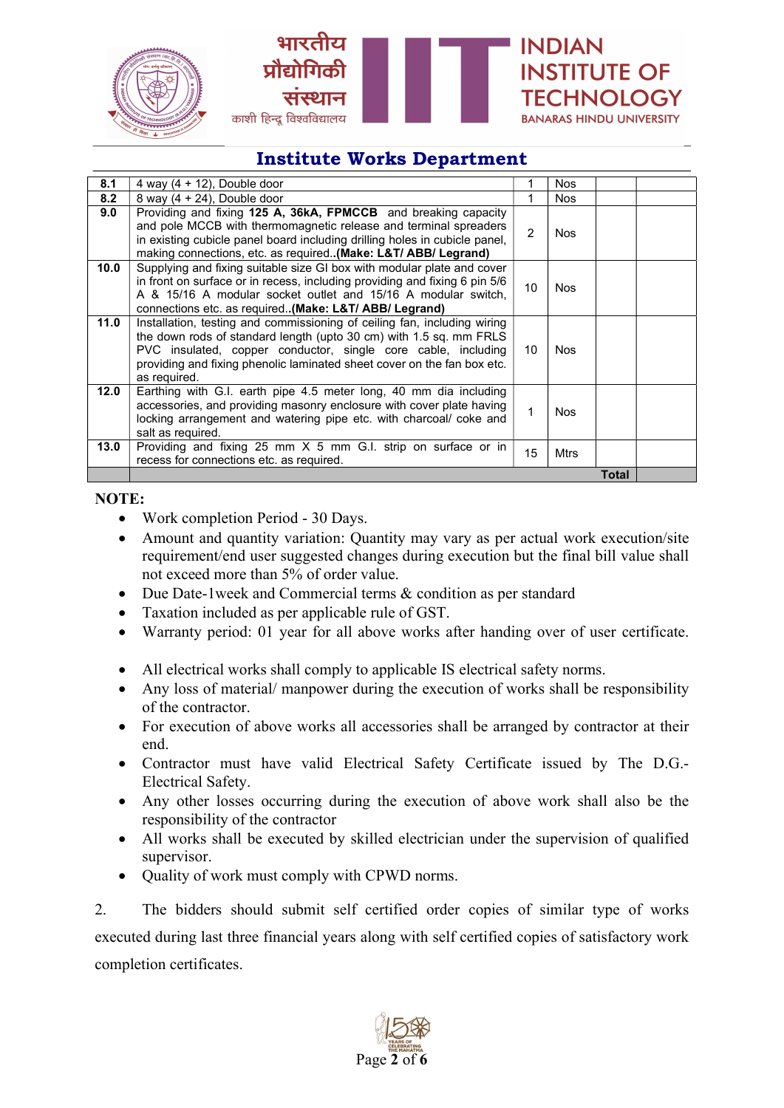



**INDIAN** 

**INSTITUTE OF** 

**TECHNOLOGY** 

**BANARAS HINDU UNIVERSITY** 

# Institute Works Department

| 8.1  | 4 way $(4 + 12)$ , Double door                                                                                                                                                                                                                                                                             |                | <b>Nos</b> |              |  |
|------|------------------------------------------------------------------------------------------------------------------------------------------------------------------------------------------------------------------------------------------------------------------------------------------------------------|----------------|------------|--------------|--|
| 8.2  | 8 way $(4 + 24)$ , Double door                                                                                                                                                                                                                                                                             | 1              | <b>Nos</b> |              |  |
| 9.0  | Providing and fixing 125 A, 36kA, FPMCCB and breaking capacity<br>and pole MCCB with thermomagnetic release and terminal spreaders<br>in existing cubicle panel board including drilling holes in cubicle panel,<br>making connections, etc. as required(Make: L&T/ ABB/ Legrand)                          | $\mathfrak{p}$ | <b>Nos</b> |              |  |
| 10.0 | Supplying and fixing suitable size GI box with modular plate and cover<br>in front on surface or in recess, including providing and fixing 6 pin 5/6<br>A & 15/16 A modular socket outlet and 15/16 A modular switch,<br>connections etc. as required(Make: L&T/ ABB/ Legrand)                             | 10             | <b>Nos</b> |              |  |
| 11.0 | Installation, testing and commissioning of ceiling fan, including wiring<br>the down rods of standard length (upto 30 cm) with 1.5 sq. mm FRLS<br>PVC insulated, copper conductor, single core cable, including<br>providing and fixing phenolic laminated sheet cover on the fan box etc.<br>as required. | 10             | <b>Nos</b> |              |  |
| 12.0 | Earthing with G.I. earth pipe 4.5 meter long, 40 mm dia including<br>accessories, and providing masonry enclosure with cover plate having<br>locking arrangement and watering pipe etc. with charcoal/ coke and<br>salt as required.                                                                       | 1              | <b>Nos</b> |              |  |
| 13.0 | Providing and fixing 25 mm X 5 mm G.I. strip on surface or in<br>recess for connections etc. as required.                                                                                                                                                                                                  | 15             | Mtrs       |              |  |
|      |                                                                                                                                                                                                                                                                                                            |                |            | <b>Total</b> |  |

#### NOTE:

- Work completion Period 30 Days.
- Amount and quantity variation: Quantity may vary as per actual work execution/site requirement/end user suggested changes during execution but the final bill value shall not exceed more than 5% of order value.
- Due Date-1week and Commercial terms & condition as per standard
- Taxation included as per applicable rule of GST.
- Warranty period: 01 year for all above works after handing over of user certificate.
- All electrical works shall comply to applicable IS electrical safety norms.
- Any loss of material/ manpower during the execution of works shall be responsibility of the contractor.
- For execution of above works all accessories shall be arranged by contractor at their end.
- Contractor must have valid Electrical Safety Certificate issued by The D.G.- Electrical Safety.
- Any other losses occurring during the execution of above work shall also be the responsibility of the contractor
- All works shall be executed by skilled electrician under the supervision of qualified supervisor.
- Quality of work must comply with CPWD norms.

2. The bidders should submit self certified order copies of similar type of works executed during last three financial years along with self certified copies of satisfactory work completion certificates.

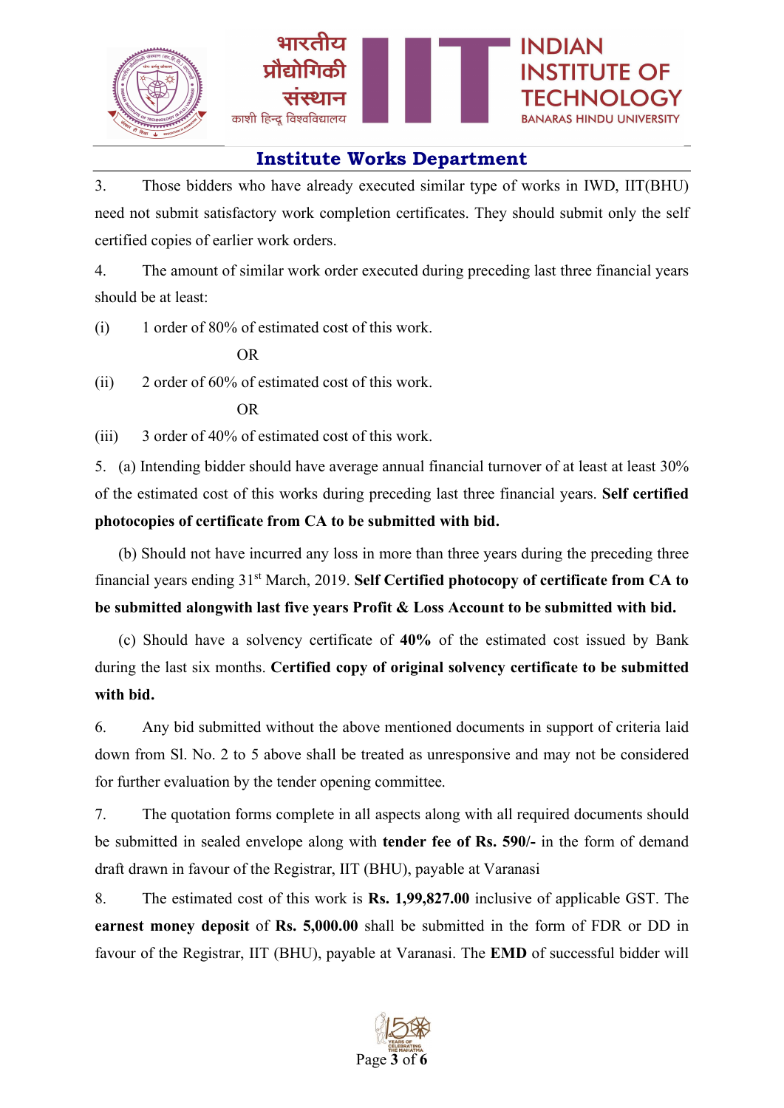

3. Those bidders who have already executed similar type of works in IWD, IIT(BHU) need not submit satisfactory work completion certificates. They should submit only the self certified copies of earlier work orders.

4. The amount of similar work order executed during preceding last three financial years should be at least:

(i) 1 order of 80% of estimated cost of this work.

OR

(ii) 2 order of 60% of estimated cost of this work.

OR

(iii) 3 order of 40% of estimated cost of this work.

5. (a) Intending bidder should have average annual financial turnover of at least at least 30% of the estimated cost of this works during preceding last three financial years. Self certified photocopies of certificate from CA to be submitted with bid.

 (b) Should not have incurred any loss in more than three years during the preceding three financial years ending 31<sup>st</sup> March, 2019. Self Certified photocopy of certificate from CA to be submitted alongwith last five years Profit & Loss Account to be submitted with bid.

 (c) Should have a solvency certificate of 40% of the estimated cost issued by Bank during the last six months. Certified copy of original solvency certificate to be submitted with bid.

6. Any bid submitted without the above mentioned documents in support of criteria laid down from Sl. No. 2 to 5 above shall be treated as unresponsive and may not be considered for further evaluation by the tender opening committee.

7. The quotation forms complete in all aspects along with all required documents should be submitted in sealed envelope along with tender fee of Rs. 590/- in the form of demand draft drawn in favour of the Registrar, IIT (BHU), payable at Varanasi

8. The estimated cost of this work is Rs. 1,99,827.00 inclusive of applicable GST. The earnest money deposit of Rs. 5,000.00 shall be submitted in the form of FDR or DD in favour of the Registrar, IIT (BHU), payable at Varanasi. The EMD of successful bidder will

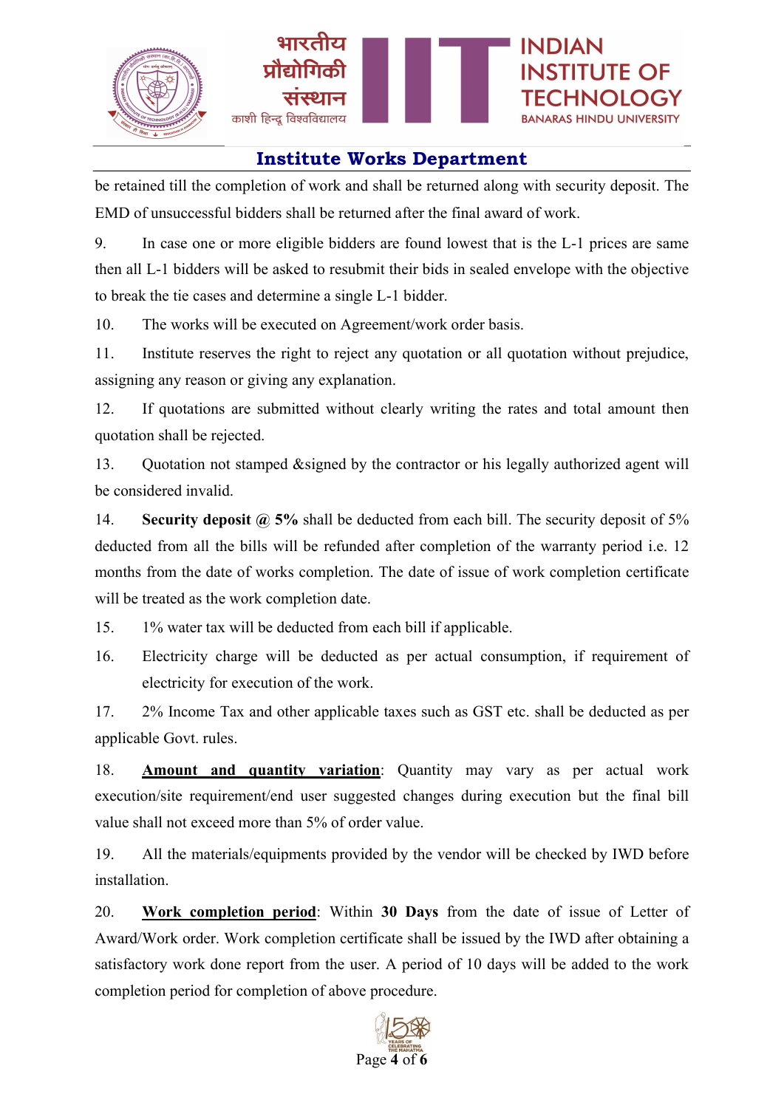

be retained till the completion of work and shall be returned along with security deposit. The EMD of unsuccessful bidders shall be returned after the final award of work.

9. In case one or more eligible bidders are found lowest that is the L-1 prices are same then all L-1 bidders will be asked to resubmit their bids in sealed envelope with the objective to break the tie cases and determine a single L-1 bidder.

10. The works will be executed on Agreement/work order basis.

11. Institute reserves the right to reject any quotation or all quotation without prejudice, assigning any reason or giving any explanation.

12. If quotations are submitted without clearly writing the rates and total amount then quotation shall be rejected.

13. Quotation not stamped &signed by the contractor or his legally authorized agent will be considered invalid.

14. Security deposit  $\omega$  5% shall be deducted from each bill. The security deposit of 5% deducted from all the bills will be refunded after completion of the warranty period i.e. 12 months from the date of works completion. The date of issue of work completion certificate will be treated as the work completion date.

15. 1% water tax will be deducted from each bill if applicable.

16. Electricity charge will be deducted as per actual consumption, if requirement of electricity for execution of the work.

17. 2% Income Tax and other applicable taxes such as GST etc. shall be deducted as per applicable Govt. rules.

18. Amount and quantity variation: Quantity may vary as per actual work execution/site requirement/end user suggested changes during execution but the final bill value shall not exceed more than 5% of order value.

19. All the materials/equipments provided by the vendor will be checked by IWD before installation.

20. Work completion period: Within 30 Days from the date of issue of Letter of Award/Work order. Work completion certificate shall be issued by the IWD after obtaining a satisfactory work done report from the user. A period of 10 days will be added to the work completion period for completion of above procedure.

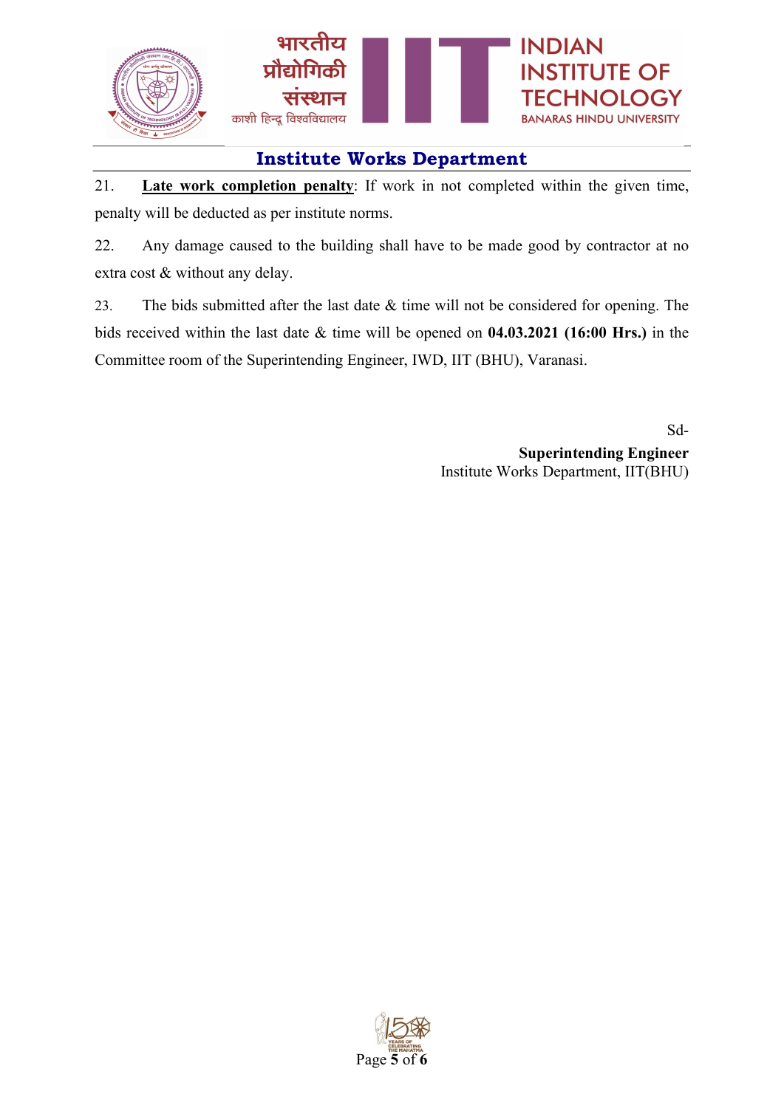

21. Late work completion penalty: If work in not completed within the given time, penalty will be deducted as per institute norms.

22. Any damage caused to the building shall have to be made good by contractor at no extra cost & without any delay.

23. The bids submitted after the last date & time will not be considered for opening. The bids received within the last date & time will be opened on 04.03.2021 (16:00 Hrs.) in the Committee room of the Superintending Engineer, IWD, IIT (BHU), Varanasi.

> Sd-Superintending Engineer Institute Works Department, IIT(BHU)